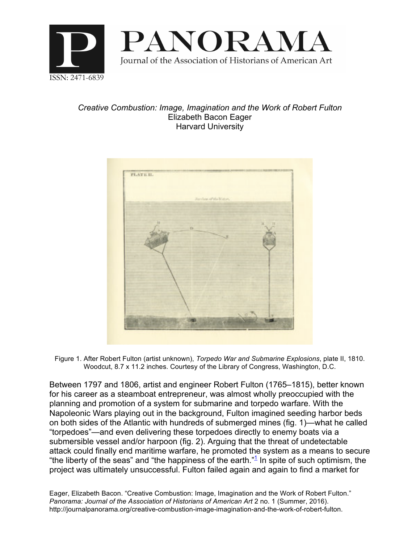

## *Creative Combustion: Image, Imagination and the Work of Robert Fulton* Elizabeth Bacon Eager Harvard University



Figure 1. After Robert Fulton (artist unknown), *Torpedo War and Submarine Explosions*, plate II, 1810. Woodcut, 8.7 x 11.2 inches. Courtesy of the Library of Congress, Washington, D.C.

Between 1797 and 1806, artist and engineer Robert Fulton (1765–1815), better known for his career as a steamboat entrepreneur, was almost wholly preoccupied with the planning and promotion of a system for submarine and torpedo warfare. With the Napoleonic Wars playing out in the background, Fulton imagined seeding harbor beds on both sides of the Atlantic with hundreds of submerged mines (fig. 1)—what he called "torpedoes"—and even delivering these torpedoes directly to enemy boats via a submersible vessel and/or harpoon (fig. 2). Arguing that the threat of undetectable attack could finally end maritime warfare, he promoted the system as a means to secure "the liberty of the seas" and "the happiness of the earth." $1$  In spite of such optimism, the project was ultimately unsuccessful. Fulton failed again and again to find a market for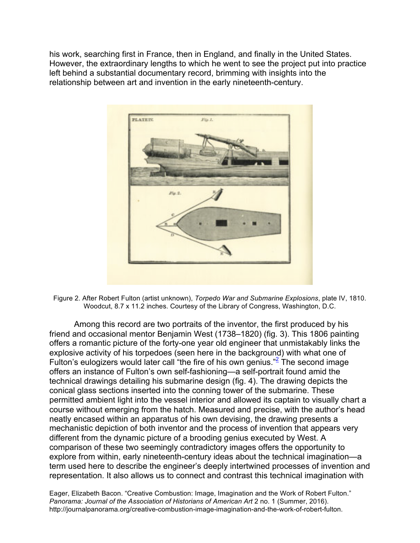his work, searching first in France, then in England, and finally in the United States. However, the extraordinary lengths to which he went to see the project put into practice left behind a substantial documentary record, brimming with insights into the relationship between art and invention in the early nineteenth-century.



Figure 2. After Robert Fulton (artist unknown), *Torpedo War and Submarine Explosions*, plate IV, 1810. Woodcut, 8.7 x 11.2 inches. Courtesy of the Library of Congress, Washington, D.C.

Among this record are two portraits of the inventor, the first produced by his friend and occasional mentor Benjamin West (1738–1820) (fig. 3). This 1806 painting offers a romantic picture of the forty-one year old engineer that unmistakably links the explosive activity of his torpedoes (seen here in the background) with what one of Fulton's eulogizers would later call "the fire of his own genius."<sup>2</sup> The second image offers an instance of Fulton's own self-fashioning—a self-portrait found amid the technical drawings detailing his submarine design (fig. 4). The drawing depicts the conical glass sections inserted into the conning tower of the submarine. These permitted ambient light into the vessel interior and allowed its captain to visually chart a course without emerging from the hatch. Measured and precise, with the author's head neatly encased within an apparatus of his own devising, the drawing presents a mechanistic depiction of both inventor and the process of invention that appears very different from the dynamic picture of a brooding genius executed by West. A comparison of these two seemingly contradictory images offers the opportunity to explore from within, early nineteenth-century ideas about the technical imagination—a term used here to describe the engineer's deeply intertwined processes of invention and representation. It also allows us to connect and contrast this technical imagination with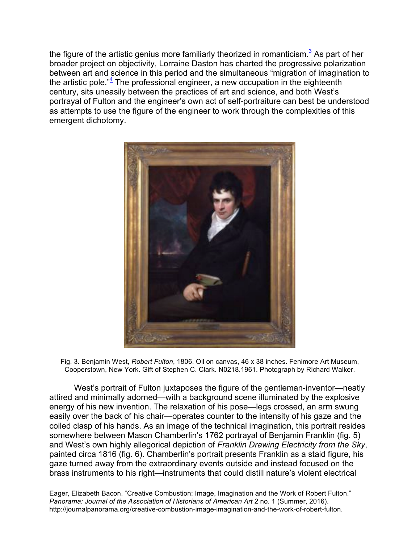the figure of the artistic genius more familiarly theorized in romanticism.<sup>3</sup> As part of her broader project on objectivity, Lorraine Daston has charted the progressive polarization between art and science in this period and the simultaneous "migration of imagination to the artistic pole.<sup>"4</sup> The professional engineer, a new occupation in the eighteenth century, sits uneasily between the practices of art and science, and both West's portrayal of Fulton and the engineer's own act of self-portraiture can best be understood as attempts to use the figure of the engineer to work through the complexities of this emergent dichotomy.



Fig. 3. Benjamin West, *Robert Fulton*, 1806. Oil on canvas, 46 x 38 inches. Fenimore Art Museum, Cooperstown, New York. Gift of Stephen C. Clark. N0218.1961. Photograph by Richard Walker.

West's portrait of Fulton juxtaposes the figure of the gentleman-inventor—neatly attired and minimally adorned—with a background scene illuminated by the explosive energy of his new invention. The relaxation of his pose—legs crossed, an arm swung easily over the back of his chair—operates counter to the intensity of his gaze and the coiled clasp of his hands. As an image of the technical imagination, this portrait resides somewhere between Mason Chamberlin's 1762 portrayal of Benjamin Franklin (fig. 5) and West's own highly allegorical depiction of *Franklin Drawing Electricity from the Sky*, painted circa 1816 (fig. 6). Chamberlin's portrait presents Franklin as a staid figure, his gaze turned away from the extraordinary events outside and instead focused on the brass instruments to his right—instruments that could distill nature's violent electrical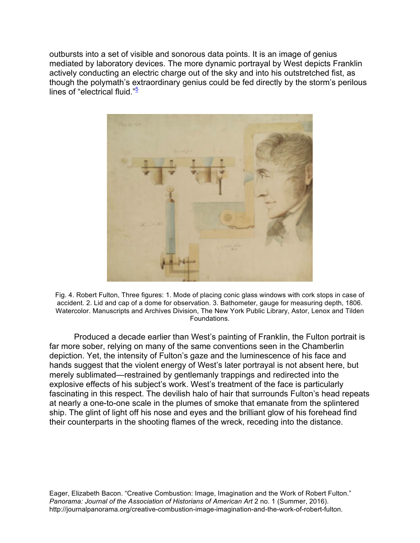outbursts into a set of visible and sonorous data points. It is an image of genius mediated by laboratory devices. The more dynamic portrayal by West depicts Franklin actively conducting an electric charge out of the sky and into his outstretched fist, as though the polymath's extraordinary genius could be fed directly by the storm's perilous lines of "electrical fluid." $5$ 



Fig. 4. Robert Fulton, Three figures: 1. Mode of placing conic glass windows with cork stops in case of accident. 2. Lid and cap of a dome for observation. 3. Bathometer, gauge for measuring depth, 1806. Watercolor. Manuscripts and Archives Division, The New York Public Library, Astor, Lenox and Tilden Foundations.

Produced a decade earlier than West's painting of Franklin, the Fulton portrait is far more sober, relying on many of the same conventions seen in the Chamberlin depiction. Yet, the intensity of Fulton's gaze and the luminescence of his face and hands suggest that the violent energy of West's later portrayal is not absent here, but merely sublimated—restrained by gentlemanly trappings and redirected into the explosive effects of his subject's work. West's treatment of the face is particularly fascinating in this respect. The devilish halo of hair that surrounds Fulton's head repeats at nearly a one-to-one scale in the plumes of smoke that emanate from the splintered ship. The glint of light off his nose and eyes and the brilliant glow of his forehead find their counterparts in the shooting flames of the wreck, receding into the distance.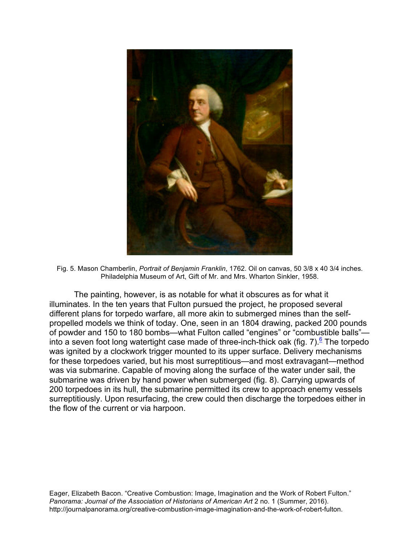

Fig. 5. Mason Chamberlin, *Portrait of Benjamin Franklin*, 1762. Oil on canvas, 50 3/8 x 40 3/4 inches. Philadelphia Museum of Art, Gift of Mr. and Mrs. Wharton Sinkler, 1958.

The painting, however, is as notable for what it obscures as for what it illuminates. In the ten years that Fulton pursued the project, he proposed several different plans for torpedo warfare, all more akin to submerged mines than the selfpropelled models we think of today. One, seen in an 1804 drawing, packed 200 pounds of powder and 150 to 180 bombs—what Fulton called "engines" or "combustible balls" into a seven foot long watertight case made of three-inch-thick oak (fig. 7).<sup>6</sup> The torpedo was ignited by a clockwork trigger mounted to its upper surface. Delivery mechanisms for these torpedoes varied, but his most surreptitious—and most extravagant—method was via submarine. Capable of moving along the surface of the water under sail, the submarine was driven by hand power when submerged (fig. 8). Carrying upwards of 200 torpedoes in its hull, the submarine permitted its crew to approach enemy vessels surreptitiously. Upon resurfacing, the crew could then discharge the torpedoes either in the flow of the current or via harpoon.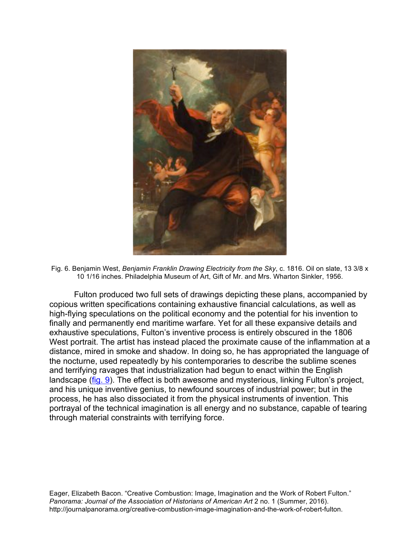

Fig. 6. Benjamin West, *Benjamin Franklin Drawing Electricity from the Sky*, c. 1816. Oil on slate, 13 3/8 x 10 1/16 inches. Philadelphia Museum of Art, Gift of Mr. and Mrs. Wharton Sinkler, 1956.

Fulton produced two full sets of drawings depicting these plans, accompanied by copious written specifications containing exhaustive financial calculations, as well as high-flying speculations on the political economy and the potential for his invention to finally and permanently end maritime warfare. Yet for all these expansive details and exhaustive speculations, Fulton's inventive process is entirely obscured in the 1806 West portrait. The artist has instead placed the proximate cause of the inflammation at a distance, mired in smoke and shadow. In doing so, he has appropriated the language of the nocturne, used repeatedly by his contemporaries to describe the sublime scenes and terrifying ravages that industrialization had begun to enact within the English landscape (fig. 9). The effect is both awesome and mysterious, linking Fulton's project, and his unique inventive genius, to newfound sources of industrial power; but in the process, he has also dissociated it from the physical instruments of invention. This portrayal of the technical imagination is all energy and no substance, capable of tearing through material constraints with terrifying force.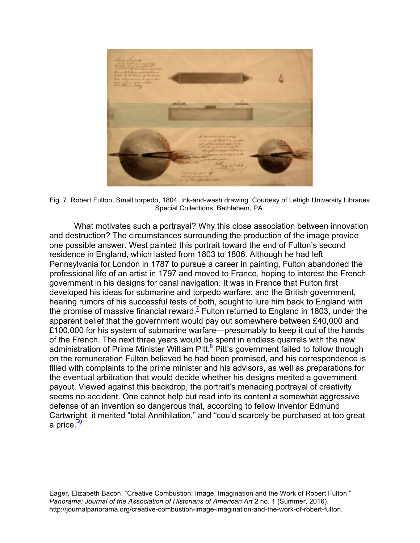

Fig. 7. Robert Fulton, Small torpedo, 1804. Ink-and-wash drawing. Courtesy of Lehigh University Libraries Special Collections, Bethlehem, PA.

What motivates such a portrayal? Why this close association between innovation and destruction? The circumstances surrounding the production of the image provide one possible answer. West painted this portrait toward the end of Fulton's second residence in England, which lasted from 1803 to 1806. Although he had left Pennsylvania for London in 1787 to pursue a career in painting, Fulton abandoned the professional life of an artist in 1797 and moved to France, hoping to interest the French government in his designs for canal navigation. It was in France that Fulton first developed his ideas for submarine and torpedo warfare, and the British government, hearing rumors of his successful tests of both, sought to lure him back to England with the promise of massive financial reward.<sup>7</sup> Fulton returned to England in 1803, under the apparent belief that the government would pay out somewhere between £40,000 and £100,000 for his system of submarine warfare—presumably to keep it out of the hands of the French. The next three years would be spent in endless quarrels with the new administration of Prime Minister William Pitt. $8$  Pitt's government failed to follow through on the remuneration Fulton believed he had been promised, and his correspondence is filled with complaints to the prime minister and his advisors, as well as preparations for the eventual arbitration that would decide whether his designs merited a government payout. Viewed against this backdrop, the portrait's menacing portrayal of creativity seems no accident. One cannot help but read into its content a somewhat aggressive defense of an invention so dangerous that, according to fellow inventor Edmund Cartwright, it merited "total Annihilation," and "cou'd scarcely be purchased at too great a price."<sup>9</sup>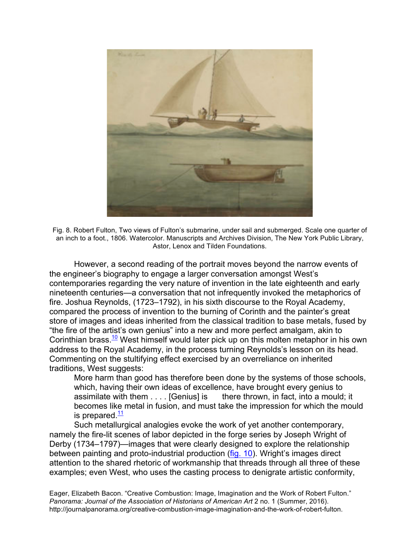

Fig. 8. Robert Fulton, Two views of Fulton's submarine, under sail and submerged. Scale one quarter of an inch to a foot., 1806. Watercolor. Manuscripts and Archives Division, The New York Public Library, Astor, Lenox and Tilden Foundations.

However, a second reading of the portrait moves beyond the narrow events of the engineer's biography to engage a larger conversation amongst West's contemporaries regarding the very nature of invention in the late eighteenth and early nineteenth centuries—a conversation that not infrequently invoked the metaphorics of fire. Joshua Reynolds, (1723–1792), in his sixth discourse to the Royal Academy, compared the process of invention to the burning of Corinth and the painter's great store of images and ideas inherited from the classical tradition to base metals, fused by "the fire of the artist's own genius" into a new and more perfect amalgam, akin to Corinthian brass.<sup>10</sup> West himself would later pick up on this molten metaphor in his own address to the Royal Academy, in the process turning Reynolds's lesson on its head. Commenting on the stultifying effect exercised by an overreliance on inherited traditions, West suggests:

More harm than good has therefore been done by the systems of those schools, which, having their own ideas of excellence, have brought every genius to assimilate with them . . . . [Genius] is there thrown, in fact, into a mould; it becomes like metal in fusion, and must take the impression for which the mould is prepared  $\frac{11}{1}$ 

Such metallurgical analogies evoke the work of yet another contemporary, namely the fire-lit scenes of labor depicted in the forge series by Joseph Wright of Derby (1734–1797)—images that were clearly designed to explore the relationship between painting and proto-industrial production (fig. 10). Wright's images direct attention to the shared rhetoric of workmanship that threads through all three of these examples; even West, who uses the casting process to denigrate artistic conformity,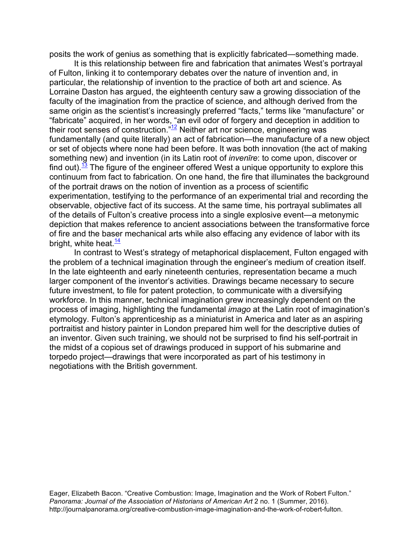posits the work of genius as something that is explicitly fabricated—something made.

It is this relationship between fire and fabrication that animates West's portrayal of Fulton, linking it to contemporary debates over the nature of invention and, in particular, the relationship of invention to the practice of both art and science. As Lorraine Daston has argued, the eighteenth century saw a growing dissociation of the faculty of the imagination from the practice of science, and although derived from the same origin as the scientist's increasingly preferred "facts," terms like "manufacture" or "fabricate" acquired, in her words, "an evil odor of forgery and deception in addition to their root senses of construction." $12$  Neither art nor science, engineering was fundamentally (and quite literally) an act of fabrication—the manufacture of a new object or set of objects where none had been before. It was both innovation (the act of making something new) and invention (in its Latin root of *invenīre*: to come upon, discover or find out).<sup>13</sup> The figure of the engineer offered West a unique opportunity to explore this continuum from fact to fabrication. On one hand, the fire that illuminates the background of the portrait draws on the notion of invention as a process of scientific experimentation, testifying to the performance of an experimental trial and recording the observable, objective fact of its success. At the same time, his portrayal sublimates all of the details of Fulton's creative process into a single explosive event—a metonymic depiction that makes reference to ancient associations between the transformative force of fire and the baser mechanical arts while also effacing any evidence of labor with its bright, white heat. $\frac{14}{1}$ 

In contrast to West's strategy of metaphorical displacement, Fulton engaged with the problem of a technical imagination through the engineer's medium of creation itself. In the late eighteenth and early nineteenth centuries, representation became a much larger component of the inventor's activities. Drawings became necessary to secure future investment, to file for patent protection, to communicate with a diversifying workforce. In this manner, technical imagination grew increasingly dependent on the process of imaging, highlighting the fundamental *imago* at the Latin root of imagination's etymology. Fulton's apprenticeship as a miniaturist in America and later as an aspiring portraitist and history painter in London prepared him well for the descriptive duties of an inventor. Given such training, we should not be surprised to find his self-portrait in the midst of a copious set of drawings produced in support of his submarine and torpedo project—drawings that were incorporated as part of his testimony in negotiations with the British government.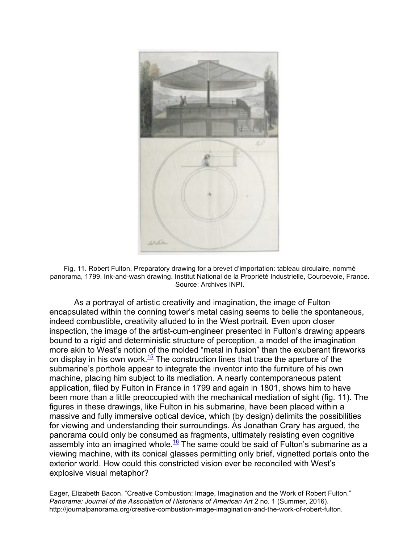

Fig. 11. Robert Fulton, Preparatory drawing for a brevet d'importation: tableau circulaire, nommé panorama, 1799. Ink-and-wash drawing. Institut National de la Propriété Industrielle, Courbevoie, France. Source: Archives INPI.

As a portrayal of artistic creativity and imagination, the image of Fulton encapsulated within the conning tower's metal casing seems to belie the spontaneous, indeed combustible, creativity alluded to in the West portrait. Even upon closer inspection, the image of the artist-cum-engineer presented in Fulton's drawing appears bound to a rigid and deterministic structure of perception, a model of the imagination more akin to West's notion of the molded "metal in fusion" than the exuberant fireworks on display in his own work.<sup>15</sup> The construction lines that trace the aperture of the submarine's porthole appear to integrate the inventor into the furniture of his own machine, placing him subject to its mediation. A nearly contemporaneous patent application, filed by Fulton in France in 1799 and again in 1801, shows him to have been more than a little preoccupied with the mechanical mediation of sight (fig. 11). The figures in these drawings, like Fulton in his submarine, have been placed within a massive and fully immersive optical device, which (by design) delimits the possibilities for viewing and understanding their surroundings. As Jonathan Crary has argued, the panorama could only be consumed as fragments, ultimately resisting even cognitive assembly into an imagined whole.<sup>16</sup> The same could be said of Fulton's submarine as a viewing machine, with its conical glasses permitting only brief, vignetted portals onto the exterior world. How could this constricted vision ever be reconciled with West's explosive visual metaphor?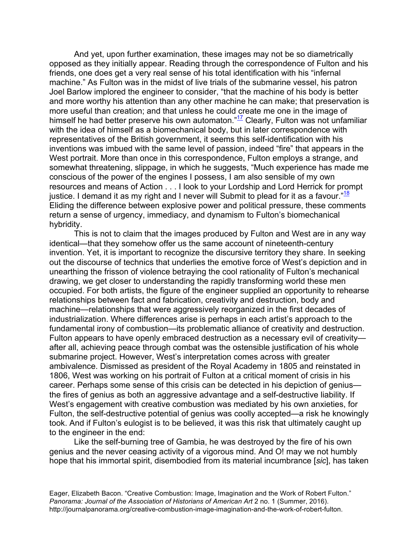And yet, upon further examination, these images may not be so diametrically opposed as they initially appear. Reading through the correspondence of Fulton and his friends, one does get a very real sense of his total identification with his "infernal machine." As Fulton was in the midst of live trials of the submarine vessel, his patron Joel Barlow implored the engineer to consider, "that the machine of his body is better and more worthy his attention than any other machine he can make; that preservation is more useful than creation; and that unless he could create me one in the image of himself he had better preserve his own automaton." $\frac{17}{12}$  Clearly, Fulton was not unfamiliar with the idea of himself as a biomechanical body, but in later correspondence with representatives of the British government, it seems this self-identification with his inventions was imbued with the same level of passion, indeed "fire" that appears in the West portrait. More than once in this correspondence, Fulton employs a strange, and somewhat threatening, slippage, in which he suggests, "Much experience has made me conscious of the power of the engines I possess, I am also sensible of my own resources and means of Action . . . I look to your Lordship and Lord Herrick for prompt justice. I demand it as my right and I never will Submit to plead for it as a favour."<sup>18</sup> Eliding the difference between explosive power and political pressure, these comments return a sense of urgency, immediacy, and dynamism to Fulton's biomechanical hybridity.

This is not to claim that the images produced by Fulton and West are in any way identical—that they somehow offer us the same account of nineteenth-century invention. Yet, it is important to recognize the discursive territory they share. In seeking out the discourse of technics that underlies the emotive force of West's depiction and in unearthing the frisson of violence betraying the cool rationality of Fulton's mechanical drawing, we get closer to understanding the rapidly transforming world these men occupied. For both artists, the figure of the engineer supplied an opportunity to rehearse relationships between fact and fabrication, creativity and destruction, body and machine—relationships that were aggressively reorganized in the first decades of industrialization. Where differences arise is perhaps in each artist's approach to the fundamental irony of combustion—its problematic alliance of creativity and destruction. Fulton appears to have openly embraced destruction as a necessary evil of creativity after all, achieving peace through combat was the ostensible justification of his whole submarine project. However, West's interpretation comes across with greater ambivalence. Dismissed as president of the Royal Academy in 1805 and reinstated in 1806, West was working on his portrait of Fulton at a critical moment of crisis in his career. Perhaps some sense of this crisis can be detected in his depiction of genius the fires of genius as both an aggressive advantage and a self-destructive liability. If West's engagement with creative combustion was mediated by his own anxieties, for Fulton, the self-destructive potential of genius was coolly accepted—a risk he knowingly took. And if Fulton's eulogist is to be believed, it was this risk that ultimately caught up to the engineer in the end:

Like the self-burning tree of Gambia, he was destroyed by the fire of his own genius and the never ceasing activity of a vigorous mind. And O! may we not humbly hope that his immortal spirit, disembodied from its material incumbrance [*sic*], has taken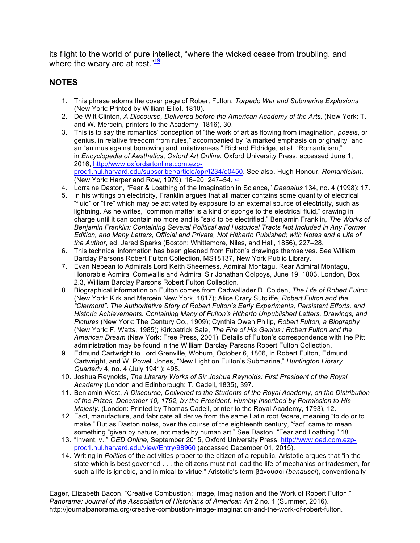its flight to the world of pure intellect, "where the wicked cease from troubling, and where the weary are at rest. $\frac{19}{19}$ 

## **NOTES**

- 1. This phrase adorns the cover page of Robert Fulton, *Torpedo War and Submarine Explosions* (New York: Printed by William Elliot, 1810).
- 2. De Witt Clinton, *A Discourse, Delivered before the American Academy of the Arts,* (New York: T. and W. Mercein, printers to the Academy, 1816), 30.
- 3. This is to say the romantics' conception of "the work of art as flowing from imagination, *poesis*, or genius, in relative freedom from rules," accompanied by "a marked emphasis on originality" and an "animus against borrowing and imitativeness." Richard Eldridge, et al. "Romanticism," in *Encyclopedia of Aesthetics*, *Oxford Art Online*, Oxford University Press, accessed June 1, 2016, http://www.oxfordartonline.com.ezpprod1.hul.harvard.edu/subscriber/article/opr/t234/e0450. See also, Hugh Honour, *Romanticism*, (New York: Harper and Row, 1979), 16–20; 247–54. ↔
- 4. Lorraine Daston, "Fear & Loathing of the Imagination in Science," *Daedalus* 134, no. 4 (1998): 17.
- 5. In his writings on electricity, Franklin argues that all matter contains some quantity of electrical "fluid" or "fire" which may be activated by exposure to an external source of electricity, such as lightning. As he writes, "common matter is a kind of sponge to the electrical fluid," drawing in charge until it can contain no more and is "said to be electrified." Benjamin Franklin, *The Works of Benjamin Franklin: Containing Several Political and Historical Tracts Not Included in Any Former Edition, and Many Letters, Official and Private, Not Hitherto Published; with Notes and a Life of the Author*, ed. Jared Sparks (Boston: Whittemore, Niles, and Hall, 1856), 227–28.
- 6. This technical information has been gleaned from Fulton's drawings themselves. See William Barclay Parsons Robert Fulton Collection, MS18137, New York Public Library.
- 7. Evan Nepean to Admirals Lord Keith Sheerness, Admiral Montagu, Rear Admiral Montagu, Honorable Admiral Cornwallis and Admiral Sir Jonathan Colpoys, June 19, 1803, London, Box 2.3, William Barclay Parsons Robert Fulton Collection.
- 8. Biographical information on Fulton comes from Cadwallader D. Colden, *The Life of Robert Fulton* (New York: Kirk and Mercein New York, 1817); Alice Crary Sutcliffe, *Robert Fulton and the "Clermont": The Authoritative Story of Robert Fulton's Early Experiments, Persistent Efforts, and Historic Achievements. Containing Many of Fulton's Hitherto Unpublished Letters, Drawings, and Pictures* (New York: The Century Co., 1909); Cynthia Owen Philip, *Robert Fulton, a Biography* (New York: F. Watts, 1985); Kirkpatrick Sale, *The Fire of His Genius : Robert Fulton and the American Dream* (New York: Free Press, 2001). Details of Fulton's correspondence with the Pitt administration may be found in the William Barclay Parsons Robert Fulton Collection.
- 9. Edmund Cartwright to Lord Grenville, Woburn, October 6, 1806, in Robert Fulton, Edmund Cartwright, and W. Powell Jones, "New Light on Fulton's Submarine," *Huntington Library Quarterly* 4, no. 4 (July 1941): 495.
- 10. Joshua Reynolds, *The Literary Works of Sir Joshua Reynolds: First President of the Royal Academy* (London and Edinborough: T. Cadell, 1835), 397*.*
- 11. Benjamin West, *A Discourse, Delivered to the Students of the Royal Academy, on the Distribution of the Prizes, December 10, 1792, by the President. Humbly Inscribed by Permission to His Majesty.* (London: Printed by Thomas Cadell, printer to the Royal Academy, 1793), 12.
- 12. Fact, manufacture, and fabricate all derive from the same Latin root *facere*, meaning "to do or to make." But as Daston notes, over the course of the eighteenth century, "fact" came to mean something "given by nature, not made by human art." See Daston, "Fear and Loathing," 18.
- 13. "Invent, v.," *OED Online*, September 2015, Oxford University Press, http://www.oed.com.ezpprod1.hul.harvard.edu/view/Entry/98960 (accessed December 01, 2015).
- 14. Writing in *Politics* of the activities proper to the citizen of a republic, Aristotle argues that "in the state which is best governed . . . the citizens must not lead the life of mechanics or tradesmen, for such a life is ignoble, and inimical to virtue." Aristotle's term βάναυσοι (*banausoi*), conventionally